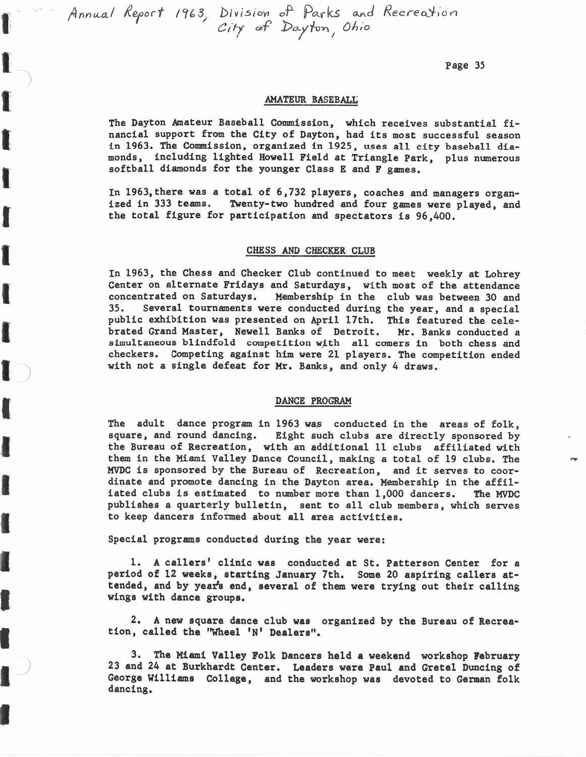**f finnual** Reloart *1963,* **bivisron oP parla** and **Recredlon** Ci+/ @f Ba/h **1** 0X;o

**1** i

**I** 

**I** 

**1** 

**f** 

**t** 

**1** 

**I** 

**f** 

**I** 

**I** 

**B** 

**I** 

**t** 

**I** 

**1)** 

Page 35

## **AMATEUR** BASEBALL

The Dayton Amateur Baseball Commission, which receives substantial financial support from the City of Dayton, had its most successful season in 1963. The Commission, organized in 1925, uses all city baseball diamonds, including lighted Howell Field at Triangle Park, plus numerous softball diamonds for the younger Class E and **F** games.

In 1963,there was a total of 6,732 players, coaches and managers organized in 333 teams. Twenty-two hundred and four games were played, and the total figure for participation and spectators is 96,400.

#### CHESS AND CHECKER CLUB

In 1963, the Chess and Checker Club continued to meet weekly at Lohrey Center on alternate Fridays and Saturdays, with most of the attendance concentrated on Saturdays. Membership in the club was between 30 and 35. several tournaments were conducted during the year, and a special public exhibition was presented on April 17th. This featured the celebrated Grand Master, Newell Banks of Detroit. Mr. Banks conducted a simultaneous blindfold competition with all comers in both chess and checkers. Competing against him were 21 players. The competition ended with not a single defeat for Mr. Banks, and only 4 draws.

### DANCE PROGRAM

The adult dance program in 1963 was conducted in the areas of  $f \circ 1k$ , square, and round dancing. Eight such clubs are directly sponsored by the Bureau of Recreation, with an additional 11 clubs affiliated with them in the **Miami** Valley Dance Council, making a total of 19 clubs. The **MVDC** is sponsored by the Bureau of Recreation, and it serves to coordinate and promote dancing in the Dayton area. Membership in the affiliated clubs is estimated to number more than 1,000 dancers. The WDC publishes a quarterly bulletin, sent to all club members, which serves to keep dancers informed about all area activities.

Special programs conducted during the year were:

1. **A** callers' clinic was conducted at St. Patterson Center for a period of 12 weeks, starting January 7th. Some 20 aspiring callers attended, and by year's end, several of them were trying out their calling wings with dance groups.

2. **A** new square dance club was organized by the Bureau of Recreation, called the "Wheel 'N' Dealers".

**3. The** Miami Valley Folk Dancers held a weekend workshop February 23 and 24 at Burkhardt Center. Leaders were Paul and Gretel Duncing of George Williams College, and the workshop was devoted to German folk dancing.